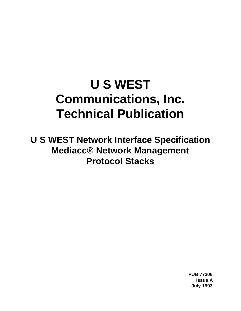# **U S WEST Communications, Inc. Technical Publication**

**U S WEST Network Interface Specification Mediacc® Network Management Protocol Stacks**

> **PUB 77306 Issue A July 1993**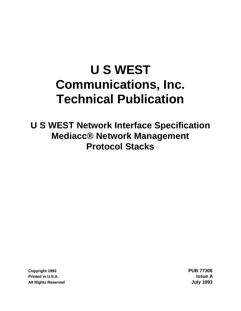# **U S WEST Communications, Inc. Technical Publication**

**U S WEST Network Interface Specification Mediacc® Network Management Protocol Stacks**

**Copyright 1993 PUB 77306 Printed in U.S.A. Issue A All Rights Reserved July 1993**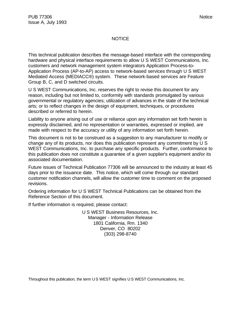#### **NOTICE**

This technical publication describes the message-based interface with the corresponding hardware and physical interface requirements to allow U S WEST Communications, Inc. customers and network management system integrators Application Process-to-Application Process (AP-to-AP) access to network-based services through U S WEST Mediated Access (MEDIACC®) system. These network-based services are Feature Group B, C, and D switched circuits.

U S WEST Communications, Inc. reserves the right to revise this document for any reason, including but not limited to, conformity with standards promulgated by various governmental or regulatory agencies; utilization of advances in the state of the technical arts; or to reflect changes in the design of equipment, techniques, or procedures described or referred to herein.

Liability to anyone arising out of use or reliance upon any information set forth herein is expressly disclaimed, and no representation or warranties, expressed or implied, are made with respect to the accuracy or utility of any information set forth herein.

This document is not to be construed as a suggestion to any manufacturer to modify or change any of its products, nor does this publication represent any commitment by U S WEST Communications, Inc. to purchase any specific products. Further, conformance to this publication does not constitute a guarantee of a given supplier's equipment and/or its associated documentation.

Future issues of Technical Publication 77306 will be announced to the industry at least 45 days prior to the issuance date. This notice, which will come through our standard customer notification channels, will allow the customer time to comment on the proposed revisions.

Ordering information for U S WEST Technical Publications can be obtained from the Reference Section of this document.

If further information is required, please contact:

U S WEST Business Resources, Inc. Manager - Information Release 1801 California, Rm. 1340 Denver, CO 80202 (303) 298-8740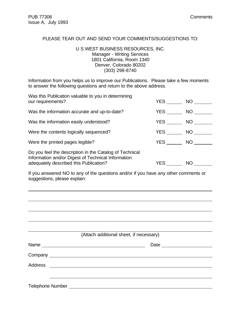l

#### PLEASE TEAR OUT AND SEND YOUR COMMENTS/SUGGESTIONS TO:

#### U S WEST BUSINESS RESOURCES, INC. Manager - Writing Services 1801 California, Room 1340 Denver, Colorado 80202 (303) 298-8740

Information from you helps us to improve our Publications. Please take a few moments to answer the following questions and return to the above address.

| Was this Publication valuable to you in determining<br>our requirements?                                                                                | YES        | NO <sub>1</sub> |
|---------------------------------------------------------------------------------------------------------------------------------------------------------|------------|-----------------|
| Was the information accurate and up-to-date?                                                                                                            | <b>YES</b> | NO <sub>1</sub> |
| Was the information easily understood?                                                                                                                  | <b>YES</b> | NO <sub>1</sub> |
| Were the contents logically sequenced?                                                                                                                  | YES        | NO.             |
| Were the printed pages legible?                                                                                                                         | <b>YES</b> | NO              |
| Do you feel the description in the Catalog of Technical<br>Information and/or Digest of Technical Information<br>adequately described this Publication? | YES.       | NO              |

If you answered NO to any of the questions and/or if you have any other comments or suggestions, please explain:

|                  | (Attach additional sheet, if necessary) |  |
|------------------|-----------------------------------------|--|
|                  |                                         |  |
|                  |                                         |  |
|                  |                                         |  |
|                  |                                         |  |
| Telephone Number |                                         |  |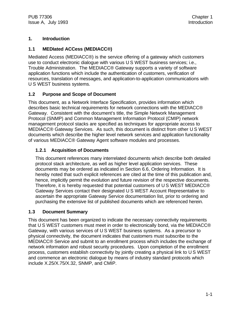# **1. Introduction**

# **1.1 MEDIated ACCess (MEDIACC®)**

Mediated Access (MEDIACC®) is the service offering of a gateway which customers use to conduct electronic dialogue with various U S WEST business services; i.e., Trouble Administration. The MEDIACC® Gateway supports a variety of software application functions which include the authentication of customers, verification of resources, translation of messages, and application-to-application communications with U S WEST business systems.

# **1.2 Purpose and Scope of Document**

This document, as a Network Interface Specification, provides information which describes basic technical requirements for network connections with the MEDIACC® Gateway. Consistent with the document's title, the Simple Network Management Protocol (SNMP) and Common Management Information Protocol (CMIP) network management protocol stacks are specified as techniques for appropriate access to MEDIACC® Gateway Services. As such, this document is distinct from other U S WEST documents which describe the higher level network services and application functionality of various MEDIACC® Gateway Agent software modules and processes.

# **1.2.1 Acquisition of Documents**

This document references many interrelated documents which describe both detailed protocol stack architecture, as well as higher level application services. These documents may be ordered as indicated in Section 6.6, Ordering Information. It is hereby noted that such explicit references are cited at the time of this publication and, hence, implicitly permit the evolution and future revision of the respective documents. Therefore, it is hereby requested that potential customers of U S WEST MEDIACC® Gateway Services contact their designated U S WEST Account Representative to ascertain the appropriate Gateway Service documentation list, prior to ordering and purchasing the extensive list of published documents which are referenced herein.

# **1.3 Document Summary**

This document has been organized to indicate the necessary connectivity requirements that U S WEST customers must meet in order to electronically bond, via the MEDIACC® Gateway, with various services of U S WEST business systems. As a precursor to physical connectivity, the document indicates that customers must subscribe to the MEDIACC® Service and submit to an enrollment process which includes the exchange of network information and robust security procedures. Upon completion of the enrollment process, customers establish connectivity by jointly creating a physical link to U S WEST and commence an electronic dialogue by means of industry standard protocols which include X.25/X.75/X.32, SNMP, and CMIP.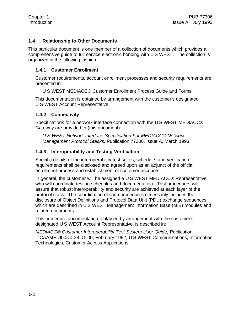#### **1.4 Relationship to Other Documents**

This particular document is one member of a collection of documents which provides a comprehensive guide to full service electronic bonding with U S WEST. The collection is organized in the following fashion:

#### **1.4.1 Customer Enrollment**

Customer requirements, account enrollment processes and security requirements are presented in:

U S WEST MEDIACC® Customer Enrollment Process Guide and Forms

This documentation is obtained by arrangement with the customer's designated U S WEST Account Representative.

#### **1.4.2 Connectivity**

Specifications for a network interface connection with the U S WEST MEDIACC® Gateway are provided in (this document):

*U S WEST Network Interface Specification For MEDIACC® Network Management Protocol Stacks,* Publication 77306, Issue A, March 1993.

#### **1.4.3 Interoperability and Testing Verification**

Specific details of the interoperability test suites, schedule, and verification requirements shall be disclosed and agreed upon as an adjunct of the official enrollment process and establishment of customer accounts.

In general, the customer will be assigned a U S WEST MEDIACC® Representative who will coordinate testing schedules and documentation. Test procedures will assure that robust interoperability and security are achieved at each layer of the protocol stack. The coordination of such procedures necessarily includes the disclosure of Object Definitions and Protocol Data Unit (PDU) exchange sequences which are described in U S WEST Management Information Base (MIB) modules and related documents.

This procedure documentation, obtained by arrangement with the customer's designated U S WEST Account Representative, is described in:

*MEDIACC® Customer Interoperability Test System User Guide,* Publication ITCAAMEDI00D0-38-01-00, February 1992, U S WEST Communications, Information Technologies, Customer Access Applications.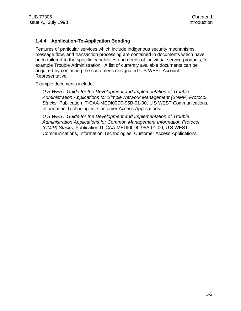#### **1.4.4 Application-To-Application Bonding**

Features of particular services which include indigenous security mechanisms, message flow, and transaction processing are contained in documents which have been tailored to the specific capabilities and needs of individual service products, for example Trouble Administration. A list of currently available documents can be acquired by contacting the customer's designated U S WEST Account Representative.

Example documents include:

*U S WEST Guide for the Development and Implementation of Trouble Administration Applications for Simple Network Management (SNMP) Protocol Stacks,* Publication IT-CAA-MEDI00D0-95B-01-00, U S WEST Communications, Information Technologies, Customer Access Applications.

*U S WEST Guide for the Development and Implementation of Trouble Administration Applications for Common Management Information Protocol (CMIP) Stacks,* Publication IT-CAA-MEDI00D0-95A-01-00, U S WEST Communications, Information Technologies, Customer Access Applications.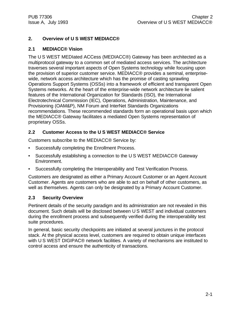# **2. Overview of U S WEST MEDIACC®**

### **2.1 MEDIACC® Vision**

The U S WEST MEDIated ACCess (MEDIACC®) Gateway has been architected as a multiprotocol gateway to a common set of mediated access services. The architecture traverses several important aspects of Open Systems technology while focusing upon the provision of superior customer service. MEDIACC® provides a seminal, enterprisewide, network access architecture which has the promise of casting sprawling Operations Support Systems (OSSs) into a framework of efficient and transparent Open Systems networks. At the heart of the enterprise-wide network architecture lie salient features of the International Organization for Standards (ISO), the International Electrotechnical Commission (IEC), Operations, Administration, Maintenance, and Provisioning (OAM&P), NM Forum and InterNet Standards Organizations recommendations. These recommended standards form an operational basis upon which the MEDIACC® Gateway facilitates a mediated Open Systems representation of proprietary OSSs.

# **2.2 Customer Access to the U S WEST MEDIACC® Service**

Customers subscribe to the MEDIACC® Service by:

- Successfully completing the Enrollment Process.
- Successfully establishing a connection to the U S WEST MEDIACC® Gateway Environment.
- Successfully completing the Interoperability and Test Verification Process.

Customers are designated as either a Primary Account Customer or an Agent Account Customer. Agents are customers who are able to act on behalf of other customers, as well as themselves. Agents can only be designated by a Primary Account Customer.

#### **2.3 Security Overview**

Pertinent details of the security paradigm and its administration are not revealed in this document. Such details will be disclosed between U S WEST and individual customers during the enrollment process and subsequently verified during the interoperability test suite procedures.

In general, basic security checkpoints are initiated at several junctures in the protocol stack. At the physical access level, customers are required to obtain unique interfaces with U S WEST DIGIPAC® network facilities. A variety of mechanisms are instituted to control access and ensure the authenticity of transactions.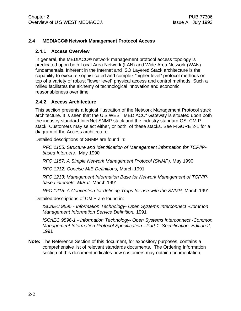#### **2.4 MEDIACC® Network Management Protocol Access**

#### **2.4.1 Access Overview**

In general, the MEDIACC® network management protocol access topology is predicated upon both Local Area Network (LAN) and Wide Area Network (WAN) fundamentals. Inherent in the Internet and ISO Layered Stack architecture is the capability to execute sophisticated and complex "higher level" protocol methods on top of a variety of robust "lower level" physical access and control methods. Such a milieu facilitates the alchemy of technological innovation and economic reasonableness over time.

#### **2.4.2 Access Architecture**

This section presents a logical illustration of the Network Management Protocol stack architecture. It is seen that the U S WEST MEDIACC" Gateway is situated upon both the industry standard InterNet SNMP stack and the industry standard OSI CMIP stack. Customers may select either, or both, of these stacks. See FIGURE 2-1 for a diagram of the Access architecture.

Detailed descriptions of SNMP are found in:

*RFC 1155: Structure and Identification of Management information for TCP/IPbased Internets,* May 1990

*RFC 1157: A Simple Network Management Protocol (SNMP),* May 1990

*RFC 1212: Concise MIB Definitions,* March 1991

*RFC 1213: Management Information Base for Network Management of TCP/IPbased internets: MIB-II,* March 1991

*RFC 1215: A Convention for defining Traps for use with the SNMP,* March 1991

Detailed descriptions of CMIP are found in:

*ISO/IEC 9595 - Information Technology- Open Systems Interconnect -Common Management Information Service Definition,* 1991

*ISO/IEC 9596-1 - Information Technology- Open Systems Interconnect -Common Management Information Protocol Specification - Part 1: Specification, Edition 2,* 1991

**Note:** The Reference Section of this document, for expository purposes, contains a comprehensive list of relevant standards documents. The Ordering Information section of this document indicates how customers may obtain documentation.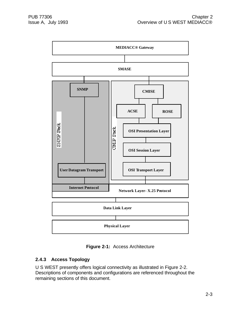

**Figure 2-1:** Access Architecture

# **2.4.3 Access Topology**

U S WEST presently offers logical connectivity as illustrated in Figure 2-2. Descriptions of components and configurations are referenced throughout the remaining sections of this document.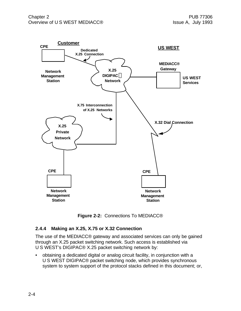

**Figure 2-2:** Connections To MEDIACC®

# **2.4.4 Making an X.25, X.75 or X.32 Connection**

The use of the MEDIACC® gateway and associated services can only be gained through an X.25 packet switching network. Such access is established via U S WEST's DIGIPAC® X.25 packet switching network by:

• obtaining a dedicated digital or analog circuit facility, in conjunction with a U S WEST DIGIPAC® packet switching node, which provides synchronous system to system support of the protocol stacks defined in this document; or,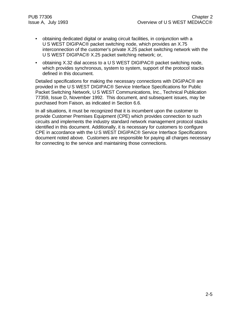- obtaining dedicated digital or analog circuit facilities, in conjunction with a U S WEST DIGIPAC® packet switching node, which provides an X.75 interconnection of the customer's private X.25 packet switching network with the U S WEST DIGIPAC® X.25 packet switching network; or,
- obtaining X.32 dial access to a U S WEST DIGIPAC® packet switching node, which provides synchronous, system to system, support of the protocol stacks defined in this document.

Detailed specifications for making the necessary connections with DIGIPAC® are provided in the U S WEST DIGIPAC® Service Interface Specifications for Public Packet Switching Network, U S WEST Communications, Inc., Technical Publication 77359, Issue D, November 1992. This document, and subsequent issues, may be purchased from Faison, as indicated in Section 6.6.

In all situations, it must be recognized that it is incumbent upon the customer to provide Customer Premises Equipment (CPE) which provides connection to such circuits and implements the industry standard network management protocol stacks identified in this document. Additionally, it is necessary for customers to configure CPE in accordance with the U S WEST DIGIPAC® Service Interface Specifications document noted above. Customers are responsible for paying all charges necessary for connecting to the service and maintaining those connections.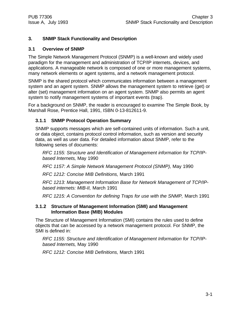# **3. SNMP Stack Functionality and Description**

#### **3.1 Overview of SNMP**

The Simple Network Management Protocol (SNMP) is a well-known and widely used paradigm for the management and administration of TCP/IP internets, devices, and applications. A manageable network is composed of one or more management systems, many network elements or agent systems, and a network management protocol.

SNMP is the shared protocol which communicates information between a management system and an agent system. SNMP allows the management system to retrieve (get) or alter (set) management information on an agent system. SNMP also permits an agent system to notify management systems of important events (trap).

For a background on SNMP, the reader is encouraged to examine The Simple Book, by Marshall Rose, Prentice Hall, 1991, ISBN 0-13-812611-9.

#### **3.1.1 SNMP Protocol Operation Summary**

SNMP supports messages which are self-contained units of information. Such a unit, or data object, contains protocol control information, such as version and security data, as well as user data. For detailed information about SNMP, refer to the following series of documents:

*RFC 1155: Structure and Identification of Management information for TCP/IPbased Internets,* May 1990

*RFC 1157: A Simple Network Management Protocol (SNMP),* May 1990

*RFC 1212: Concise MIB Definitions,* March 1991

*RFC 1213: Management Information Base for Network Management of TCP/IPbased internets: MIB-II,* March 1991

*RFC 1215: A Convention for defining Traps for use with the SNMP,* March 1991

#### **3.1.2 Structure of Management Information (SMI) and Management Information Base (MIB) Modules**

The Structure of Management Information (SMI) contains the rules used to define objects that can be accessed by a network management protocol. For SNMP, the SMI is defined in:

*RFC 1155: Structure and Identification of Management Information for TCP/IPbased Internets,* May 1990

*RFC 1212: Concise MIB Definitions,* March 1991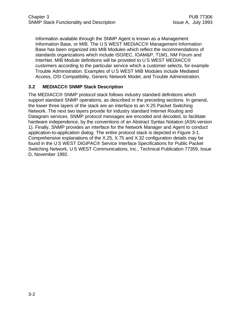Information available through the SNMP Agent is known as a Management Information Base, or MIB. The U S WEST MEDIACC® Management Information Base has been organized into MIB Modules which reflect the recommendations of standards organizations which include ISO/IEC, IOAM&P, T1M1, NM Forum and InterNet. MIB Module definitions will be provided to U S WEST MEDIACC® customers according to the particular service which a customer selects, for example Trouble Administration. Examples of U S WEST MIB Modules include Mediated Access, OSI Compatibility, Generic Network Model, and Trouble Administration.

#### **3.2 MEDIACC® SNMP Stack Description**

The MEDIACC® SNMP protocol stack follows industry standard definitions which support standard SNMP operations, as described in the preceding sections. In general, the lower three layers of the stack are an interface to an X.25 Packet Switching Network. The next two layers provide for industry standard Internet Routing and Datagram services. SNMP protocol messages are encoded and decoded, to facilitate hardware independence, by the conventions of an Abstract Syntax Notation (ASN version 1). Finally, SNMP provides an interface for the Network Manager and Agent to conduct application-to-application dialog. The entire protocol stack is depicted in Figure 3-1. Comprehensive explanations of the X.25, X.75 and X.32 configuration details may be found in the U S WEST DIGIPAC® Service Interface Specifications for Public Packet Switching Network, U S WEST Communications, Inc., Technical Publication 77359, Issue D, November 1992.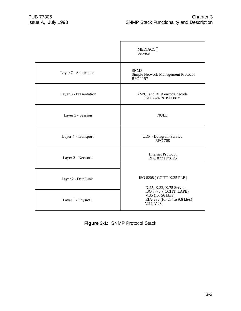|                        | <b>MEDIACC®</b><br>Service                                                                   |
|------------------------|----------------------------------------------------------------------------------------------|
| Layer 7 - Application  | $SNMP -$<br>Simple Network Management Protocol<br>RFC 1157                                   |
| Layer 6 - Presentation | ASN.1 and BER encode/decode<br>ISO 8824 & ISO 8825                                           |
| Layer 5 - Session      | <b>NULL</b>                                                                                  |
| Layer 4 - Transport    | UDP - Datagram Service<br><b>RFC</b> 768                                                     |
| Layer 3 - Network      | <b>Internet Protocol</b><br>RFC 877 IP/X.25                                                  |
| Layer 2 - Data Link    | ISO 8208 ( CCITT X.25 PLP )<br>X.25, X.32, X.75 Service                                      |
| Layer 1 - Physical     | ISO 7776 (CCITT LAPB)<br>V.35 (for $56$ kb/s)<br>EIA-232 (for 2.4 to 9.6 kb/s)<br>V.24, V.28 |

**Figure 3-1:** SNMP Protocol Stack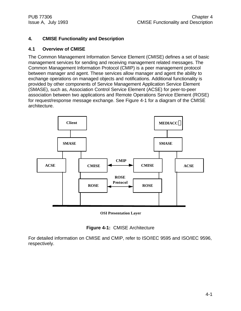# **4. CMISE Functionality and Description**

#### **4.1 Overview of CMISE**

The Common Management Information Service Element (CMISE) defines a set of basic management services for sending and receiving management related messages. The Common Management Information Protocol (CMIP) is a peer management protocol between manager and agent. These services allow manager and agent the ability to exchange operations on managed objects and notifications. Additional functionality is provided by other components of Service Management Application Service Element (SMASE), such as, Association Control Service Element (ACSE) for peer-to-peer association between two applications and Remote Operations Service Element (ROSE) for request/response message exchange. See Figure 4-1 for a diagram of the CMISE architecture.



#### **OSI Presentation Layer**



For detailed information on CMISE and CMIP, refer to ISO/IEC 9595 and ISO/IEC 9596, respectively.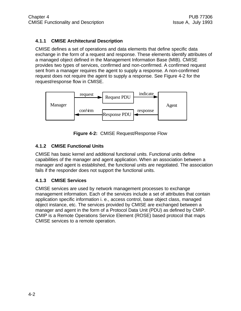# **4.1.1 CMISE Architectural Description**

CMISE defines a set of operations and data elements that define specific data exchange in the form of a request and response. These elements identify attributes of a managed object defined in the Management Information Base (MIB). CMISE provides two types of services, confirmed and non-confirmed. A confirmed request sent from a manager requires the agent to supply a response. A non-confirmed request does not require the agent to supply a response. See Figure 4-2 for the request/response flow in CMISE.



**Figure 4-2:** CMISE Request/Response Flow

# **4.1.2 CMISE Functional Units**

CMISE has basic kernel and additional functional units. Functional units define capabilities of the manager and agent application. When an association between a manager and agent is established, the functional units are negotiated. The association fails if the responder does not support the functional units.

# **4.1.3 CMISE Services**

CMISE services are used by network management processes to exchange management information. Each of the services include a set of attributes that contain application specific information i. e., access control, base object class, managed object instance, etc. The services provided by CMISE are exchanged between a manager and agent in the form of a Protocol Data Unit (PDU) as defined by CMIP. CMIP is a Remote Operations Service Element (ROSE) based protocol that maps CMISE services to a remote operation.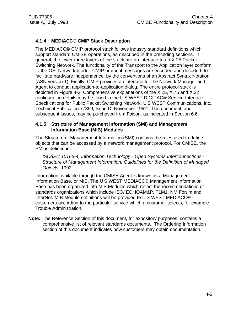# **4.1.4 MEDIACC® CMIP Stack Description**

The MEDIACC® CMIP protocol stack follows industry standard definitions which support standard CMISE operations, as described in the preceding sections. In general, the lower three layers of the stack are an interface to an X.25 Packet Switching Network. The functionality of the Transport to the Application layer conform to the OSI Network model. CMIP protocol messages are encoded and decoded, to facilitate hardware independence, by the conventions of an Abstract Syntax Notation (ASN version 1). Finally, CMIP provides an interface for the Network Manager and Agent to conduct application-to-application dialog. The entire protocol stack is depicted in Figure 4-3. Comprehensive explanations of the X.25, X.75 and X.32 configuration details may be found in the U S WEST DIGIPAC® Service Interface Specifications for Public Packet Switching Network, U S WEST Communications, Inc., Technical Publication 77359, Issue D, November 1992. This document, and subsequent issues, may be purchased from Faison, as indicated in Section 6.6.

#### **4.1.5 Structure of Management Information (SMI) and Management Information Base (MIB) Modules**

The Structure of Management Information (SMI) contains the rules used to define objects that can be accessed by a network management protocol. For CMISE, the SMI is defined in:

*ISO/IEC 10165-4, Information Technology - Open Systems Interconnections - Structure of Management Information: Guidelines for the Definition of Managed Objects,* 1992.

Information available through the CMISE Agent is known as a Management Information Base, or MIB. The U S WEST MEDIACC® Management Information Base has been organized into MIB Modules which reflect the recommendations of standards organizations which include ISO/IEC, IOAM&P, T1M1, NM Forum and InterNet. MIB Module definitions will be provided to U S WEST MEDIACC® customers according to the particular service which a customer selects, for example Trouble Administration.

**Note:** The Reference Section of this document, for expository purposes, contains a comprehensive list of relevant standards documents. The Ordering Information section of this document indicates how customers may obtain documentation.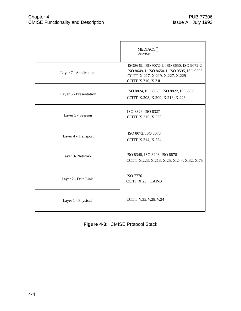|                        | <b>MEDIACC®</b><br>Service                                                                                                                        |
|------------------------|---------------------------------------------------------------------------------------------------------------------------------------------------|
| Layer 7 - Application  | ISO8649, ISO 9072-1, ISO 8650, ISO 9072-2<br>ISO 8649-1, ISO 8650-1, ISO 9595, ISO 9596<br>CCITT X.217, X.219, X.227, X.229<br>CCITT X.710, X.711 |
| Layer 6 - Presentation | ISO 8824, ISO 8825, ISO 8822, ISO 8823<br>CCITT X.208, X.209, X.216, X.226                                                                        |
| Layer 5 - Session      | ISO 8326, ISO 8327<br><b>CCITT X.215, X.225</b>                                                                                                   |
| Layer 4 - Transport    | ISO 8072, ISO 8073<br>CCITT X.214, X.224                                                                                                          |
| Layer 3- Network       | ISO 8348, ISO 8208, ISO 8878<br>CCITT X.223, X.213, X.25, X.244, X.32, X.75                                                                       |
| Layer 2 - Data Link    | ISO 7776<br>CCITT X.25 LAP-B                                                                                                                      |
| Layer 1 - Physical     | CCITT V.35, V.28, V.24                                                                                                                            |

**Figure 4-3:** CMISE Protocol Stack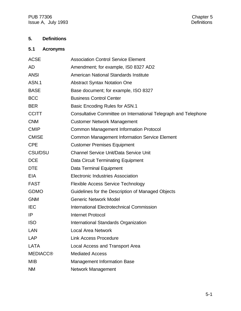PUB 77306<br>
Issue A, July 1993<br>
Chapter 5<br>
Chapter 5<br>
Chapter 5 Issue A, July 1993

# **5. Definitions**

# **5.1 Acronyms**

| <b>ACSE</b>     | <b>Association Control Service Element</b>                      |
|-----------------|-----------------------------------------------------------------|
| <b>AD</b>       | Amendment; for example, ISO 8327 AD2                            |
| <b>ANSI</b>     | American National Standards Institute                           |
| ASN.1           | <b>Abstract Syntax Notation One</b>                             |
| <b>BASE</b>     | Base document; for example, ISO 8327                            |
| <b>BCC</b>      | <b>Business Control Center</b>                                  |
| <b>BER</b>      | Basic Encoding Rules for ASN.1                                  |
| <b>CCITT</b>    | Consultative Committee on International Telegraph and Telephone |
| <b>CNM</b>      | <b>Customer Network Management</b>                              |
| <b>CMIP</b>     | <b>Common Management Information Protocol</b>                   |
| <b>CMISE</b>    | <b>Common Management Information Service Element</b>            |
| <b>CPE</b>      | <b>Customer Premises Equipment</b>                              |
| <b>CSU/DSU</b>  | <b>Channel Service Unit/Data Service Unit</b>                   |
| <b>DCE</b>      | Data Circuit Terminating Equipment                              |
| <b>DTE</b>      | <b>Data Terminal Equipment</b>                                  |
| <b>EIA</b>      | <b>Electronic Industries Association</b>                        |
| <b>FAST</b>     | <b>Flexible Access Service Technology</b>                       |
| <b>GDMO</b>     | Guidelines for the Description of Managed Objects               |
| <b>GNM</b>      | <b>Generic Network Model</b>                                    |
| <b>IEC</b>      | International Electrotechnical Commission                       |
| IP              | <b>Internet Protocol</b>                                        |
| <b>ISO</b>      | International Standards Organization                            |
| <b>LAN</b>      | <b>Local Area Network</b>                                       |
| <b>LAP</b>      | <b>Link Access Procedure</b>                                    |
| <b>LATA</b>     | <b>Local Access and Transport Area</b>                          |
| <b>MEDIACC®</b> | <b>Mediated Access</b>                                          |
| <b>MIB</b>      | <b>Management Information Base</b>                              |
| <b>NM</b>       | Network Management                                              |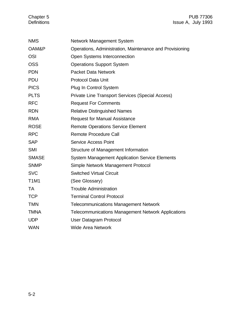#### Chapter 5 **PUB 77306** Definitions Issue A, July 1993

| <b>NMS</b>   | <b>Network Management System</b>                          |
|--------------|-----------------------------------------------------------|
| OAM&P        | Operations, Administration, Maintenance and Provisioning  |
| <b>OSI</b>   | Open Systems Interconnection                              |
| <b>OSS</b>   | <b>Operations Support System</b>                          |
| <b>PDN</b>   | <b>Packet Data Network</b>                                |
| <b>PDU</b>   | <b>Protocol Data Unit</b>                                 |
| <b>PICS</b>  | Plug In Control System                                    |
| <b>PLTS</b>  | <b>Private Line Transport Services (Special Access)</b>   |
| <b>RFC</b>   | <b>Request For Comments</b>                               |
| <b>RDN</b>   | <b>Relative Distinguished Names</b>                       |
| <b>RMA</b>   | <b>Request for Manual Assistance</b>                      |
| <b>ROSE</b>  | <b>Remote Operations Service Element</b>                  |
| <b>RPC</b>   | <b>Remote Procedure Call</b>                              |
| <b>SAP</b>   | <b>Service Access Point</b>                               |
| <b>SMI</b>   | Structure of Management Information                       |
| <b>SMASE</b> | <b>System Management Application Service Elements</b>     |
| <b>SNMP</b>  | Simple Network Management Protocol                        |
| <b>SVC</b>   | <b>Switched Virtual Circuit</b>                           |
| <b>T1M1</b>  | (See Glossary)                                            |
| <b>TA</b>    | <b>Trouble Administration</b>                             |
| <b>TCP</b>   | <b>Terminal Control Protocol</b>                          |
| <b>TMN</b>   | <b>Telecommunications Management Network</b>              |
| <b>TMNA</b>  | <b>Telecommunications Management Network Applications</b> |
| <b>UDP</b>   | User Datagram Protocol                                    |
| <b>WAN</b>   | <b>Wide Area Network</b>                                  |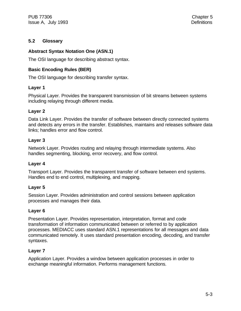# **5.2 Glossary**

# **Abstract Syntax Notation One (ASN.1)**

The OSI language for describing abstract syntax.

# **Basic Encoding Rules (BER)**

The OSI language for describing transfer syntax.

# **Layer 1**

Physical Layer. Provides the transparent transmission of bit streams between systems including relaying through different media.

# **Layer 2**

Data Link Layer. Provides the transfer of software between directly connected systems and detects any errors in the transfer. Establishes, maintains and releases software data links; handles error and flow control.

# **Layer 3**

Network Layer. Provides routing and relaying through intermediate systems. Also handles segmenting, blocking, error recovery, and flow control.

# **Layer 4**

Transport Layer. Provides the transparent transfer of software between end systems. Handles end to end control, multiplexing, and mapping.

#### **Layer 5**

Session Layer. Provides administration and control sessions between application processes and manages their data.

#### **Layer 6**

Presentation Layer. Provides representation, interpretation, format and code transformation of information communicated between or referred to by application processes. MEDIACC uses standard ASN.1 representations for all messages and data communicated remotely. It uses standard presentation encoding, decoding, and transfer syntaxes.

# **Layer 7**

Application Layer. Provides a window between application processes in order to exchange meaningful information. Performs management functions.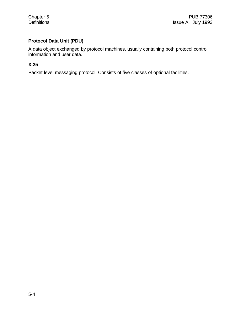# **Protocol Data Unit (PDU)**

A data object exchanged by protocol machines, usually containing both protocol control information and user data.

# **X.25**

Packet level messaging protocol. Consists of five classes of optional facilities.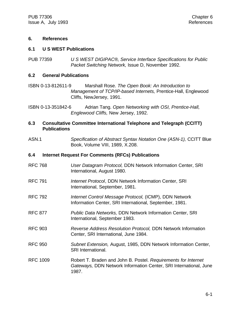#### **6. References**

#### **6.1 U S WEST Publications**

PUB 77359 *U S WEST DIGIPAC®' Service Interface Specifications for Public Packet Switching Network,* Issue D, November 1992.

#### **6.2 General Publications**

- ISBN 0-13-812611-9 Marshall Rose. *The Open Book: An Introduction to Management of TCP/IP-based Internets,* Prentice-Hall, Englewood Cliffs, NewJersey, 1991.
- ISBN 0-13-351842-6 Adrian Tang. *Open Networking with OSI, Prentice-Hall, Englewood Cliffs,* New Jersey, 1992.

#### **6.3 Consultative Committee International Telephone and Telegraph (CCITT) Publications**

ASN.1 *Specification of Abstract Syntax Notation One (ASN-1),* CCITT Blue Book, Volume VIII, 1989, X.208.

#### **6.4 Internet Request For Comments (RFCs) Publications**

- RFC 768 *User Datagram Protocol,* DDN Network Information Center, SRI International, August 1980.
- RFC 791 *Internet Protocol*, DDN Network Information Center, SRI International, September, 1981.
- RFC 792 *Internet Control Message Protocol,* (ICMP), DDN Network Information Center, SRI International, September, 1981.
- RFC 877 *Public Data Networks,* DDN Network Information Center, SRI International, September 1983.
- RFC 903 *Reverse Address Resolution Protocol,* DDN Network Information Center, SRI International, June 1984.
- RFC 950 *Subnet Extension,* August, 1985, DDN Network Information Center, SRI International.
- RFC 1009 Robert T. Braden and John B. Postel. *Requirements for Internet Gateways,* DDN Network Information Center, SRI International, June 1987.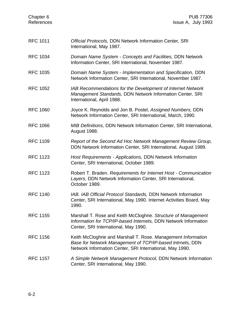| Chapter <sub>6</sub><br>References | <b>PUB 77306</b><br>Issue A, July 1993                                                                                                                                                 |
|------------------------------------|----------------------------------------------------------------------------------------------------------------------------------------------------------------------------------------|
| <b>RFC 1011</b>                    | Official Protocols, DDN Network Information Center, SRI<br>International, May 1987.                                                                                                    |
| <b>RFC 1034</b>                    | Domain Name System - Concepts and Facilities, DDN Network<br>Information Center, SRI International, November 1987.                                                                     |
| <b>RFC 1035</b>                    | Domain Name System - Implementation and Specification, DDN<br>Network Information Center, SRI International, November 1987.                                                            |
| <b>RFC 1052</b>                    | IAB Recommendations for the Development of Internet Network<br>Management Standards, DDN Network Information Center, SRI<br>International, April 1988.                                 |
| <b>RFC 1060</b>                    | Joyce K. Reynolds and Jon B. Postel, Assigned Numbers, DDN<br>Network Information Center, SRI International, March, 1990.                                                              |
| <b>RFC 1066</b>                    | <b>MIB Definitions, DDN Network Information Center, SRI International,</b><br>August 1988.                                                                                             |
| <b>RFC 1109</b>                    | Report of the Second Ad Hoc Network Management Review Group,<br>DDN Network Information Center, SRI International, August 1989.                                                        |
| <b>RFC 1123</b>                    | Host Requirements - Applications, DDN Network Information<br>Center, SRI International, October 1989.                                                                                  |
| <b>RFC 1123</b>                    | Robert T. Braden. Requirements for Internet Host - Communication<br>Layers, DDN Network Information Center, SRI International,<br>October 1989.                                        |
| <b>RFC 1140</b>                    | IAB. IAB Official Protocol Standards, DDN Network Information<br>Center, SRI International, May 1990. Internet Activities Board, May<br>1990.                                          |
| <b>RFC 1155</b>                    | Marshall T. Rose and Keith McCloghrie. Structure of Management<br>Information for TCP/IP-based Internets, DDN Network Information<br>Center, SRI International, May 1990.              |
| <b>RFC 1156</b>                    | Keith McCloghrie and Marshall T. Rose. Management Information<br>Base for Network Management of TCP/IP-based Intrnets, DDN<br>Network Information Center, SRI International, May 1990. |
| <b>RFC 1157</b>                    | A Simple Network Management Protocol, DDN Network Information<br>Center, SRI International, May 1990.                                                                                  |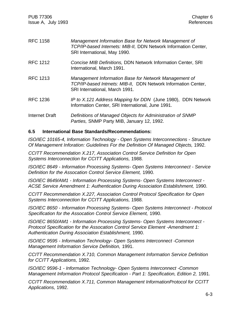PUB 77306 Chapter 6 Issue A, July 1993 **References** 

| <b>RFC 1158</b>       | Management Information Base for Network Management of<br>TCP/IP-based Internets: MIB-II, DDN Network Information Center,<br>SRI International, May 1990.  |
|-----------------------|-----------------------------------------------------------------------------------------------------------------------------------------------------------|
| <b>RFC 1212</b>       | Concise MIB Definitions, DDN Network Information Center, SRI<br>International, March 1991.                                                                |
| <b>RFC 1213</b>       | Management Information Base for Network Management of<br>TCP/IP-based Intrnets: MIB-II, DDN Network Information Center,<br>SRI International, March 1991. |
| <b>RFC 1236</b>       | IP to X.121 Address Mapping for DDN (June 1980), DDN Network<br>Information Center, SRI International, June 1991.                                         |
| <b>Internet Draft</b> | Definitions of Managed Objects for Administration of SNMP<br>Parties, SNMP Party MIB, January 12, 1992.                                                   |

#### **6.5 International Base Standards/Recommendations:**

*ISO/IEC 10165-4, Information Technology - Open Systems Interconnections - Structure Of Management Inforation: Guidelines For the Definition Of Managed Objects,* 1992.

*CCITT Recommendation X.217, Association Control Service Definition for Open Systems Interconnection for CCITT Applications,* 1988.

*ISO/IEC 8649 - Information Processing Systems- Open Systems Interconnect - Service Definition for the Assocation Control Service Element,* 1990.

*ISO/IEC 8649/AM1 - Information Processing Systems- Open Systems Interconnect - ACSE Service Amendment 1: Authentication During Association Establishment,* 1990.

*CCITT Recommendation X.227, Association Control Protocol Specification for Open Systems Interconnection for CCITT Applications,* 1988.

*ISO/IEC 8650 - Information Processing Systems- Open Systems Interconnect - Protocol Specification for the Assocation Control Service Element,* 1990.

*ISO/IEC 8650/AM1 - Information Processing Systems- Open Systems Interconnect - Protocol Specification for the Assocation Control Service Element -Amendment 1: Authentication During Association Establishment,* 1990.

*ISO/IEC 9595 - Information Technology- Open Systems Interconnect -Common Management Information Service Definition,* 1991.

*CCITT Recommendation X.710, Common Management Information Service Definition for CCITT Applications,* 1992.

*ISO/IEC 9596-1 - Information Technology- Open Systems Interconnect -Common Management Information Protocol Specification - Part 1: Specification, Edition 2,* 1991.

*CCITT Recommendation X.711, Common Management InformationProtocol for CCITT Applications,* 1992.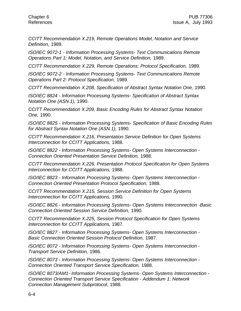*CCITT Recommendation X.219, Remote Operations Model, Notation and Service Definition,* 1989.

*ISO/IEC 9072-1 - Information Processing Systems- Text Communications Remote Operations Part 1: Model, Notation, and Service Definition,* 1989.

*CCITT Recommendation X.229, Remote Operations: Protocol Specification,* 1989.

*ISO/IEC 9072-2 - Information Processing Systems- Text Communications Remote Operations Part 2: Protocol Specification,* 1989.

*CCITT Recommendation X.208, Specification of Abstract Syntax Notation One,* 1990.

*ISO/IEC 8824 - Information Processing Systems- Specification of Abstract Syntax Notation One (ASN.1),* 1990.

*CCITT Recommendation X.209, Basic Encoding Rules for Abstract Syntax Notation One,* 1990.

*ISO/IEC 8825 - Information Processing Systems- Specification of Basic Encoding Rules for Abstract Syntax Notation One (ASN.1),* 1990.

*CCITT Recommendation X.216, Presentation Service Definition for Open Systems Interconnection for CCITT Applications,* 1988.

*ISO/IEC 8822 - Information Processing Systems- Open Systems Interconnection - Connection Oriented Presentation Service Definition,* 1988.

*CCITT Recommendation X.226, Presentation Protocol Specification for Open Systems Interconnection for CCITT Applications,* 1988.

*ISO/IEC 8823 - Information Processing Systems- Open Systems Interconnection - Connection Oriented Presentation Protocol Specification,* 1988.

*CCITT Recommendation X.215, Session Service Definition for Open Systems Interconnection for CCITT Applications,* 1990.

*ISO/IEC 8826 - Information Processing Systems- Open Systems Interconnection -Basic Connection Oriented Session Service Definition,* 1990.

*CCITT Recommendation X.225, Session Protocol Specification for Open Systems Interconnection for CCITT Applications,* 1987.

*ISO/IEC 8827 - Information Processing Systems- Open Systems Interconnection - Basic Connection Oriented Session Protocol Definition,* 1987.

*ISO/IEC 8072 - Information Processing Systems- Open Systems Interconnection - Transport Service Definition,* 1986.

*ISO/IEC 8073 - Information Processing Systems- Open Systems Interconnection - Connection Oriented Transport Service Specification,* 1988.

*ISO/IEC 8073/AM1- Information Processing Systems- Open Systems Interconnection - Connection Oriented Transport Service Specification - Addendum 1: Network Connection Management Subprotocol*, 1988.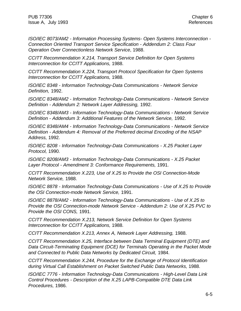PUB 77306 Chapter 6 Issue A, July 1993 **References** 

*ISO/IEC 8073/AM2 - Information Processing Systems- Open Systems Interconnection - Connection Oriented Transport Service Specification - Addendum 2: Class Four Operation Over Connectionless Network Service*, 1988.

*CCITT Recommendation X.214, Transport Service Definition for Open Systems Interconnection for CCITT Applications,* 1988.

*CCITT Recommendation X.224, Transport Protocol Specification for Open Systems Interconnection for CCITT Applications,* 1988.

*ISO/IEC 8348 - Information Technology-Data Communications - Network Service Definition,* 1992.

*ISO/IEC 8348/AM2 - Information Technology-Data Communications - Network Service Definition - Addendum 2: Network Layer Addressing,* 1992.

*ISO/IEC 8348/AM3 - Information Technology-Data Communications - Network Service Definition - Addendum 3: Additional Features of the Network Service,* 1992.

*ISO/IEC 8348/AM4 - Information Technology-Data Communications - Network Service Definition - Addendum 4: Removal of the Preferred decimal Encoding of the NSAP Address,* 1992.

*ISO/IEC 8208 - Information Technology-Data Communications - X.25 Packet Layer Protocol,* 1990.

*ISO/IEC 8208/AM3 - Information Technology-Data Communications - X.25 Packet Layer Protocol - Amendment 3: Conformance Requirements,* 1991.

*CCITT Recommendation X.223, Use of X.25 to Provide the OSI Connection-Mode Network Service,* 1988.

*ISO/IEC 8878 - Information Technology-Data Communications - Use of X.25 to Provide the OSI Connection-mode Network Service,* 1991.

*ISO/IEC 8878/AM2 - Information Technology-Data Communications - Use of X.25 to Provide the OSI Connection-mode Network Service - Addendum 2: Use of X.25 PVC to Provide the OSI CONS,* 1991.

*CCITT Recommendation X.213, Network Service Definition for Open Systems Interconnection for CCITT Applications,* 1988.

*CCITT Recommendation X.213, Annex A, Network Layer Addressing,* 1988.

*CCITT Recommendation X.25, Interface between Data Terminal Equipment (DTE) and Data Circuit-Terminating Equipment (DCE) for Terminals Operating in the Packet Mode and Connected to Public Data Networks by Dedicated Circuit,* 1984.

*CCITT Recommendation X.244, Procedure for the Exchange of Protocol Identification during Virtual Call Establishment on Packet Switched Public Data Networks,* 1988.

*ISO/IEC 7776 - Information Technology-Data Communications - High-Level Data Link Control Procedures - Description of the X.25 LAPB-Compatible DTE Data Link Procedures,* 1986.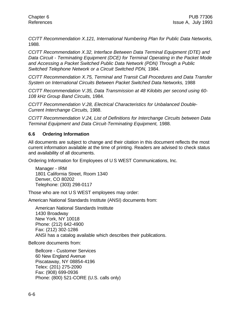*CCITT Recommendation X.121, International Numbering Plan for Public Data Networks,* 1988.

*CCITT Recommendation X.32, Interface Between Data Terminal Equipment (DTE) and Data Circuit - Terminating Equipment (DCE) for Terminal Operating in the Packet Mode and Accessing a Packet Switched Public Data Network (PDN) Through a Public Switched Telephone Network or a Circuit Switched PDN,* 1984.

*CCITT Recommendation X.75, Terminal and Transit Call Procedures and Data Transfer System on International Circuits Between Packet Switched Data Networks,* 1988

*CCITT Recommendation V.35, Data Transmission at 48 Kilobits per second using 60- 108 kHz Group Band Circuits,* 1984.

*CCITT Recommendation V.28, Electrical Characteristics for Unbalanced Double-Current Interchange Circuits,* 1988.

*CCITT Recommendation V.24, List of Definitions for Interchange Circuits between Data Terminal Equipment and Data Circuit-Terminating Equipment,* 1988.

#### **6.6 Ordering Information**

All documents are subject to change and their citation in this document reflects the most current information available at the time of printing. Readers are advised to check status and availability of all documents.

Ordering Information for Employees of U S WEST Communications, Inc.

Manager - IRM 1801 California Street, Room 1340 Denver, CO 80202 Telephone: (303) 298-0117

Those who are not U S WEST employees may order:

American National Standards Institute (ANSI) documents from:

American National Standards Institute 1430 Broadway New York, NY 10018 Phone: (212) 642-4900 Fax: (212) 302-1286 ANSI has a catalog available which describes their publications.

Bellcore documents from:

Bellcore - Customer Services 60 New England Avenue Piscataway, NY 08854-4196 Telex: (201) 275-2090 Fax: (908) 699-0936 Phone: (800) 521-CORE (U.S. calls only)